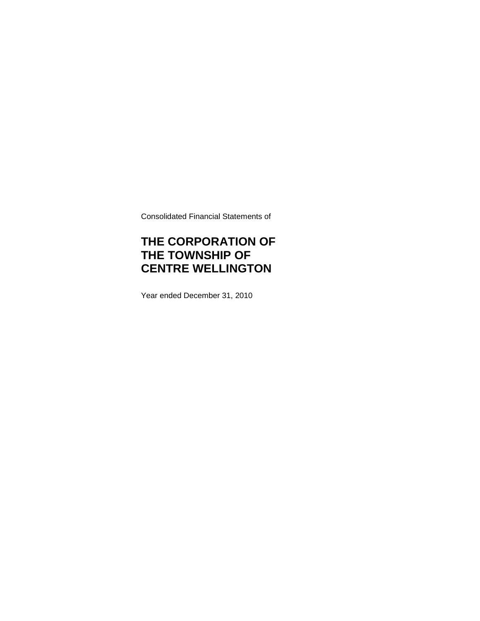Consolidated Financial Statements of

# **THE CORPORATION OF THE TOWNSHIP OF CENTRE WELLINGTON**

Year ended December 31, 2010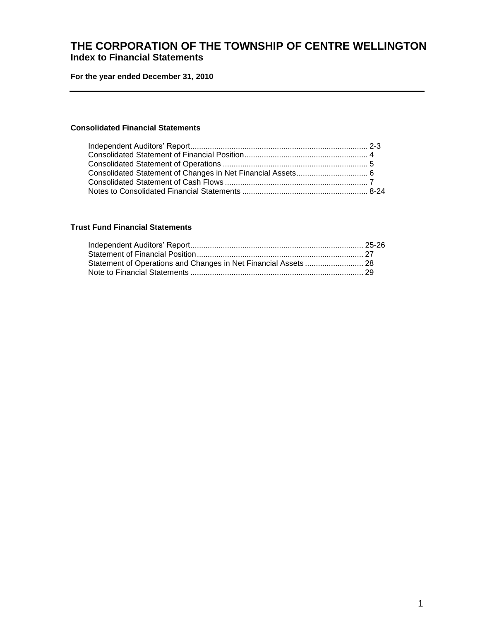### **THE CORPORATION OF THE TOWNSHIP OF CENTRE WELLINGTON Index to Financial Statements**

**For the year ended December 31, 2010**

#### **Consolidated Financial Statements**

### **Trust Fund Financial Statements**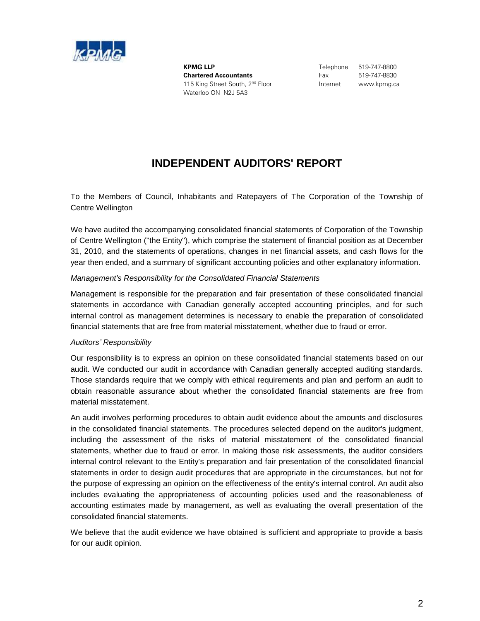

**KPMG LLP** Telephone 519-747-8800 **Chartered Accountants** Fax 519-747-8830 115 King Street South, 2<sup>nd</sup> Floor **Internet** www.kpmg.ca Waterloo ON N2J 5A3

# **INDEPENDENT AUDITORS' REPORT**

To the Members of Council, Inhabitants and Ratepayers of The Corporation of the Township of Centre Wellington

We have audited the accompanying consolidated financial statements of Corporation of the Township of Centre Wellington (''the Entity''), which comprise the statement of financial position as at December 31, 2010, and the statements of operations, changes in net financial assets, and cash flows for the year then ended, and a summary of significant accounting policies and other explanatory information.

#### *Management's Responsibility for the Consolidated Financial Statements*

Management is responsible for the preparation and fair presentation of these consolidated financial statements in accordance with Canadian generally accepted accounting principles, and for such internal control as management determines is necessary to enable the preparation of consolidated financial statements that are free from material misstatement, whether due to fraud or error.

#### *Auditors' Responsibility*

Our responsibility is to express an opinion on these consolidated financial statements based on our audit. We conducted our audit in accordance with Canadian generally accepted auditing standards. Those standards require that we comply with ethical requirements and plan and perform an audit to obtain reasonable assurance about whether the consolidated financial statements are free from material misstatement.

An audit involves performing procedures to obtain audit evidence about the amounts and disclosures in the consolidated financial statements. The procedures selected depend on the auditor's judgment, including the assessment of the risks of material misstatement of the consolidated financial statements, whether due to fraud or error. In making those risk assessments, the auditor considers internal control relevant to the Entity's preparation and fair presentation of the consolidated financial statements in order to design audit procedures that are appropriate in the circumstances, but not for the purpose of expressing an opinion on the effectiveness of the entity's internal control. An audit also includes evaluating the appropriateness of accounting policies used and the reasonableness of accounting estimates made by management, as well as evaluating the overall presentation of the consolidated financial statements.

We believe that the audit evidence we have obtained is sufficient and appropriate to provide a basis for our audit opinion.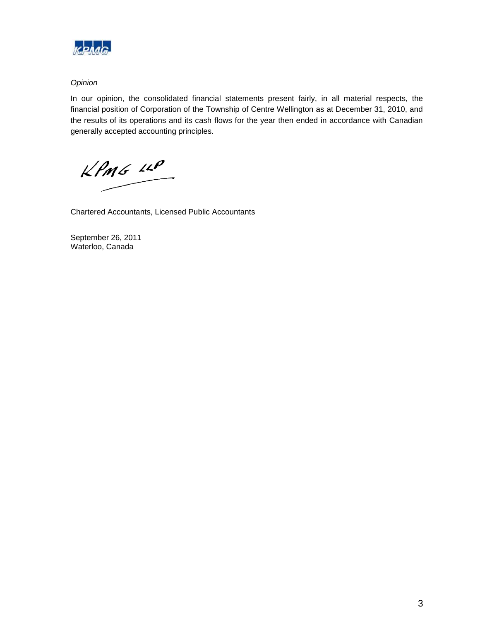

### *Opinion*

In our opinion, the consolidated financial statements present fairly, in all material respects, the financial position of Corporation of the Township of Centre Wellington as at December 31, 2010, and the results of its operations and its cash flows for the year then ended in accordance with Canadian generally accepted accounting principles.

 $KPMG$  14P

Chartered Accountants, Licensed Public Accountants

September 26, 2011 Waterloo, Canada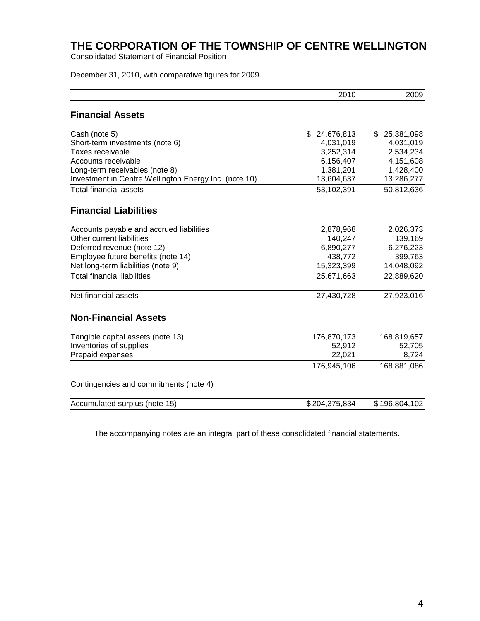Consolidated Statement of Financial Position

December 31, 2010, with comparative figures for 2009

|                                                       | 2010             | 2009             |
|-------------------------------------------------------|------------------|------------------|
| <b>Financial Assets</b>                               |                  |                  |
| Cash (note 5)                                         | \$<br>24,676,813 | 25,381,098<br>\$ |
| Short-term investments (note 6)                       | 4,031,019        | 4,031,019        |
| Taxes receivable                                      | 3,252,314        | 2,534,234        |
| Accounts receivable                                   | 6,156,407        | 4,151,608        |
| Long-term receivables (note 8)                        | 1,381,201        | 1,428,400        |
| Investment in Centre Wellington Energy Inc. (note 10) | 13,604,637       | 13,286,277       |
| <b>Total financial assets</b>                         | 53,102,391       | 50,812,636       |
| <b>Financial Liabilities</b>                          |                  |                  |
| Accounts payable and accrued liabilities              | 2,878,968        | 2,026,373        |
| Other current liabilities                             | 140,247          | 139,169          |
| Deferred revenue (note 12)                            | 6,890,277        | 6,276,223        |
| Employee future benefits (note 14)                    | 438,772          | 399,763          |
| Net long-term liabilities (note 9)                    | 15,323,399       | 14,048,092       |
| <b>Total financial liabilities</b>                    | 25,671,663       | 22,889,620       |
| Net financial assets                                  | 27,430,728       | 27,923,016       |
| <b>Non-Financial Assets</b>                           |                  |                  |
| Tangible capital assets (note 13)                     | 176,870,173      | 168,819,657      |
| Inventories of supplies                               | 52,912           | 52,705           |
| Prepaid expenses                                      | 22,021           | 8,724            |
|                                                       | 176,945,106      | 168,881,086      |
| Contingencies and commitments (note 4)                |                  |                  |
| Accumulated surplus (note 15)                         | \$204,375,834    | \$196,804,102    |
|                                                       |                  |                  |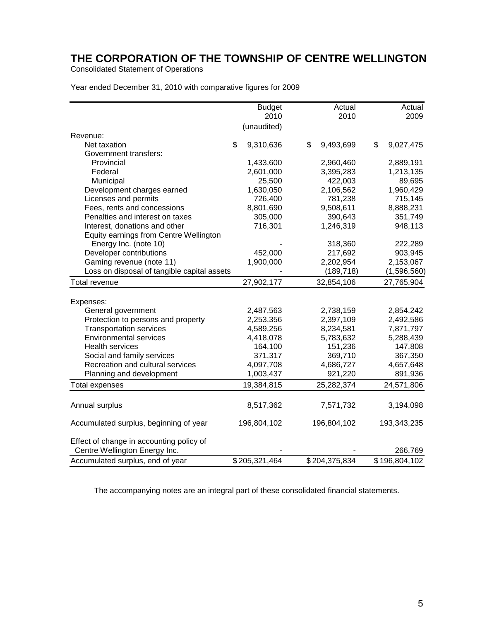Consolidated Statement of Operations

|                                                                           | <b>Budget</b><br>2010 | Actual<br>2010  | Actual<br>2009  |
|---------------------------------------------------------------------------|-----------------------|-----------------|-----------------|
|                                                                           | (unaudited)           |                 |                 |
| Revenue:                                                                  |                       |                 |                 |
| Net taxation                                                              | \$<br>9,310,636       | \$<br>9,493,699 | \$<br>9,027,475 |
| Government transfers:                                                     |                       |                 |                 |
| Provincial                                                                | 1,433,600             | 2,960,460       | 2,889,191       |
| Federal                                                                   | 2,601,000             | 3,395,283       | 1,213,135       |
| Municipal                                                                 | 25,500                | 422,003         | 89,695          |
| Development charges earned                                                | 1,630,050             | 2,106,562       | 1,960,429       |
| Licenses and permits                                                      | 726,400               | 781,238         | 715,145         |
| Fees, rents and concessions                                               | 8,801,690             | 9,508,611       | 8,888,231       |
| Penalties and interest on taxes                                           | 305,000               | 390,643         | 351,749         |
| Interest, donations and other                                             | 716,301               | 1,246,319       | 948,113         |
| Equity earnings from Centre Wellington                                    |                       |                 |                 |
| Energy Inc. (note 10)                                                     |                       | 318,360         | 222,289         |
| Developer contributions                                                   | 452,000               | 217,692         | 903,945         |
| Gaming revenue (note 11)                                                  | 1,900,000             | 2,202,954       | 2,153,067       |
| Loss on disposal of tangible capital assets                               |                       | (189, 718)      | (1,596,560)     |
| Total revenue                                                             | 27,902,177            | 32,854,106      | 27,765,904      |
| Expenses:                                                                 |                       |                 |                 |
| General government                                                        | 2,487,563             | 2,738,159       | 2,854,242       |
| Protection to persons and property                                        | 2,253,356             | 2,397,109       | 2,492,586       |
| <b>Transportation services</b>                                            | 4,589,256             | 8,234,581       | 7,871,797       |
| <b>Environmental services</b>                                             | 4,418,078             | 5,783,632       | 5,288,439       |
| <b>Health services</b>                                                    | 164,100               | 151,236         | 147,808         |
| Social and family services                                                | 371,317               | 369,710         | 367,350         |
| Recreation and cultural services                                          | 4,097,708             | 4,686,727       | 4,657,648       |
| Planning and development                                                  | 1,003,437             | 921,220         | 891,936         |
| Total expenses                                                            | 19,384,815            | 25,282,374      | 24,571,806      |
|                                                                           |                       |                 |                 |
| Annual surplus                                                            | 8,517,362             | 7,571,732       | 3,194,098       |
| Accumulated surplus, beginning of year                                    | 196,804,102           | 196,804,102     | 193,343,235     |
| Effect of change in accounting policy of<br>Centre Wellington Energy Inc. |                       |                 | 266,769         |
| Accumulated surplus, end of year                                          | \$205,321,464         | \$204,375,834   | \$196,804,102   |

Year ended December 31, 2010 with comparative figures for 2009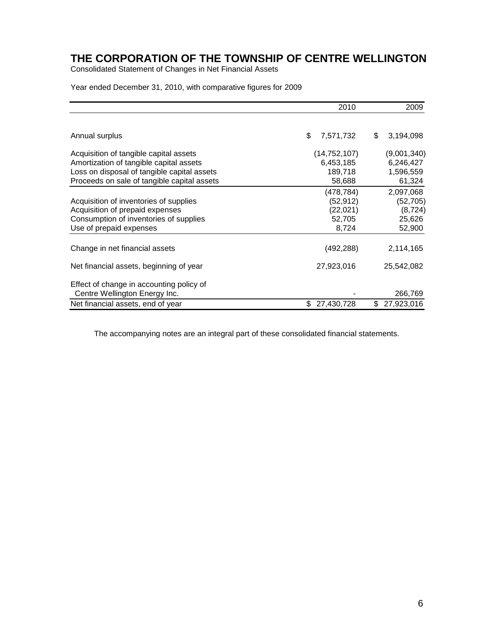Consolidated Statement of Changes in Net Financial Assets

Year ended December 31, 2010, with comparative figures for 2009

|                                             | 2010             | 2009             |
|---------------------------------------------|------------------|------------------|
| Annual surplus                              | \$<br>7,571,732  | \$<br>3,194,098  |
|                                             |                  |                  |
| Acquisition of tangible capital assets      | (14, 752, 107)   | (9,001,340)      |
| Amortization of tangible capital assets     | 6,453,185        | 6,246,427        |
| Loss on disposal of tangible capital assets | 189,718          | 1,596,559        |
| Proceeds on sale of tangible capital assets | 58,688           | 61,324           |
|                                             | (478, 784)       | 2,097,068        |
| Acquisition of inventories of supplies      | (52, 912)        | (52, 705)        |
| Acquisition of prepaid expenses             | (22, 021)        | (8, 724)         |
| Consumption of inventories of supplies      | 52,705           | 25,626           |
| Use of prepaid expenses                     | 8,724            | 52,900           |
| Change in net financial assets              | (492, 288)       | 2,114,165        |
| Net financial assets, beginning of year     | 27,923,016       | 25,542,082       |
| Effect of change in accounting policy of    |                  |                  |
| Centre Wellington Energy Inc.               |                  | 266,769          |
| Net financial assets, end of year           | 27,430,728<br>\$ | \$<br>27,923,016 |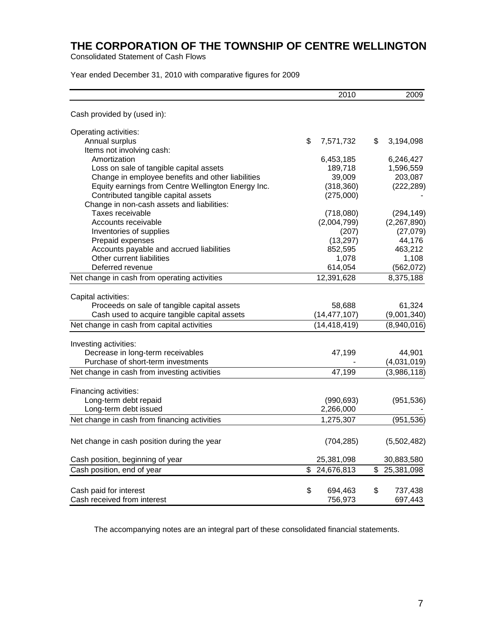Consolidated Statement of Cash Flows

Year ended December 31, 2010 with comparative figures for 2009

|                                                                    | 2010             | 2009             |
|--------------------------------------------------------------------|------------------|------------------|
| Cash provided by (used in):                                        |                  |                  |
| Operating activities:                                              |                  |                  |
| Annual surplus                                                     | \$<br>7,571,732  | \$<br>3,194,098  |
| Items not involving cash:                                          |                  |                  |
| Amortization                                                       | 6,453,185        | 6,246,427        |
| Loss on sale of tangible capital assets                            | 189,718          | 1,596,559        |
| Change in employee benefits and other liabilities                  | 39,009           | 203,087          |
| Equity earnings from Centre Wellington Energy Inc.                 | (318, 360)       | (222, 289)       |
| Contributed tangible capital assets                                | (275,000)        |                  |
| Change in non-cash assets and liabilities:                         |                  |                  |
| Taxes receivable                                                   | (718,080)        | (294, 149)       |
| Accounts receivable                                                | (2,004,799)      | (2,267,890)      |
| Inventories of supplies                                            | (207)            | (27,079)         |
| Prepaid expenses                                                   | (13, 297)        | 44,176           |
| Accounts payable and accrued liabilities                           | 852,595          | 463,212          |
| Other current liabilities                                          | 1,078            | 1,108            |
| Deferred revenue                                                   | 614,054          | (562, 072)       |
| Net change in cash from operating activities                       | 12,391,628       | 8,375,188        |
|                                                                    |                  |                  |
| Capital activities:<br>Proceeds on sale of tangible capital assets | 58,688           | 61,324           |
| Cash used to acquire tangible capital assets                       | (14, 477, 107)   | (9,001,340)      |
|                                                                    | (14, 418, 419)   | (8,940,016)      |
| Net change in cash from capital activities                         |                  |                  |
| Investing activities:                                              |                  |                  |
| Decrease in long-term receivables                                  | 47,199           | 44,901           |
| Purchase of short-term investments                                 |                  | (4,031,019)      |
| Net change in cash from investing activities                       | 47,199           | (3,986,118)      |
|                                                                    |                  |                  |
| Financing activities:                                              |                  |                  |
| Long-term debt repaid                                              | (990, 693)       | (951, 536)       |
| Long-term debt issued                                              | 2,266,000        |                  |
| Net change in cash from financing activities                       | 1,275,307        | (951, 536)       |
| Net change in cash position during the year                        | (704, 285)       | (5,502,482)      |
|                                                                    |                  |                  |
| Cash position, beginning of year                                   | 25,381,098       | 30,883,580       |
| Cash position, end of year                                         | \$<br>24,676,813 | \$<br>25,381,098 |
| Cash paid for interest                                             | \$<br>694,463    | \$<br>737,438    |
| Cash received from interest                                        | 756,973          | 697,443          |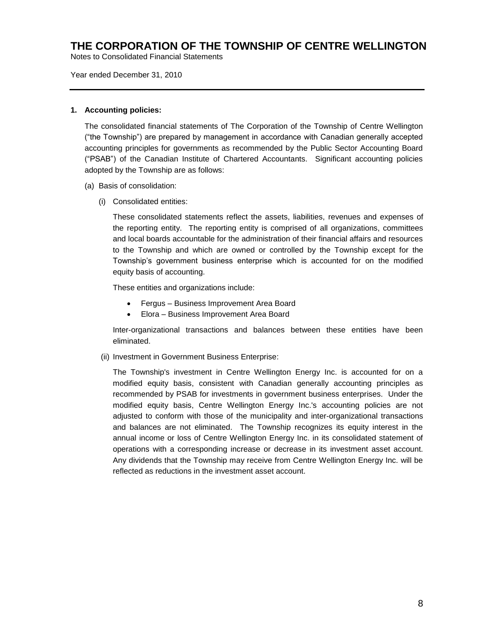Notes to Consolidated Financial Statements

Year ended December 31, 2010

#### **1. Accounting policies:**

The consolidated financial statements of The Corporation of the Township of Centre Wellington ("the Township") are prepared by management in accordance with Canadian generally accepted accounting principles for governments as recommended by the Public Sector Accounting Board ("PSAB") of the Canadian Institute of Chartered Accountants. Significant accounting policies adopted by the Township are as follows:

- (a) Basis of consolidation:
	- (i) Consolidated entities:

These consolidated statements reflect the assets, liabilities, revenues and expenses of the reporting entity. The reporting entity is comprised of all organizations, committees and local boards accountable for the administration of their financial affairs and resources to the Township and which are owned or controlled by the Township except for the Township's government business enterprise which is accounted for on the modified equity basis of accounting.

These entities and organizations include:

- Fergus Business Improvement Area Board
- Elora Business Improvement Area Board

Inter-organizational transactions and balances between these entities have been eliminated.

(ii) Investment in Government Business Enterprise:

The Township's investment in Centre Wellington Energy Inc. is accounted for on a modified equity basis, consistent with Canadian generally accounting principles as recommended by PSAB for investments in government business enterprises. Under the modified equity basis, Centre Wellington Energy Inc.'s accounting policies are not adjusted to conform with those of the municipality and inter-organizational transactions and balances are not eliminated. The Township recognizes its equity interest in the annual income or loss of Centre Wellington Energy Inc. in its consolidated statement of operations with a corresponding increase or decrease in its investment asset account. Any dividends that the Township may receive from Centre Wellington Energy Inc. will be reflected as reductions in the investment asset account.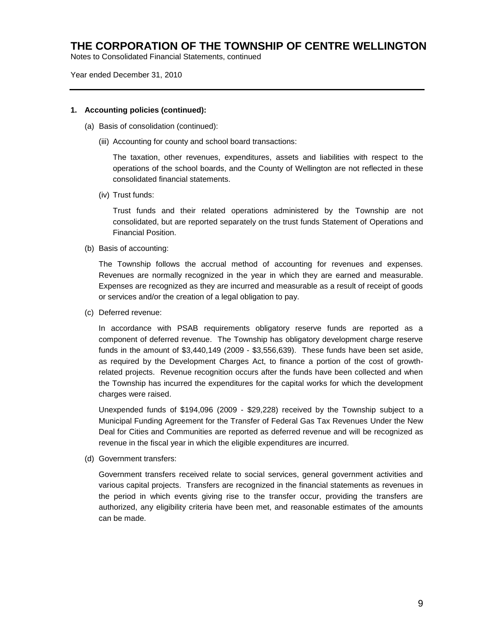Notes to Consolidated Financial Statements, continued

Year ended December 31, 2010

#### **1. Accounting policies (continued):**

- (a) Basis of consolidation (continued):
	- (iii) Accounting for county and school board transactions:

The taxation, other revenues, expenditures, assets and liabilities with respect to the operations of the school boards, and the County of Wellington are not reflected in these consolidated financial statements.

(iv) Trust funds:

Trust funds and their related operations administered by the Township are not consolidated, but are reported separately on the trust funds Statement of Operations and Financial Position.

(b) Basis of accounting:

The Township follows the accrual method of accounting for revenues and expenses. Revenues are normally recognized in the year in which they are earned and measurable. Expenses are recognized as they are incurred and measurable as a result of receipt of goods or services and/or the creation of a legal obligation to pay.

(c) Deferred revenue:

In accordance with PSAB requirements obligatory reserve funds are reported as a component of deferred revenue. The Township has obligatory development charge reserve funds in the amount of \$3,440,149 (2009 - \$3,556,639). These funds have been set aside, as required by the Development Charges Act, to finance a portion of the cost of growthrelated projects. Revenue recognition occurs after the funds have been collected and when the Township has incurred the expenditures for the capital works for which the development charges were raised.

Unexpended funds of \$194,096 (2009 - \$29,228) received by the Township subject to a Municipal Funding Agreement for the Transfer of Federal Gas Tax Revenues Under the New Deal for Cities and Communities are reported as deferred revenue and will be recognized as revenue in the fiscal year in which the eligible expenditures are incurred.

(d) Government transfers:

Government transfers received relate to social services, general government activities and various capital projects. Transfers are recognized in the financial statements as revenues in the period in which events giving rise to the transfer occur, providing the transfers are authorized, any eligibility criteria have been met, and reasonable estimates of the amounts can be made.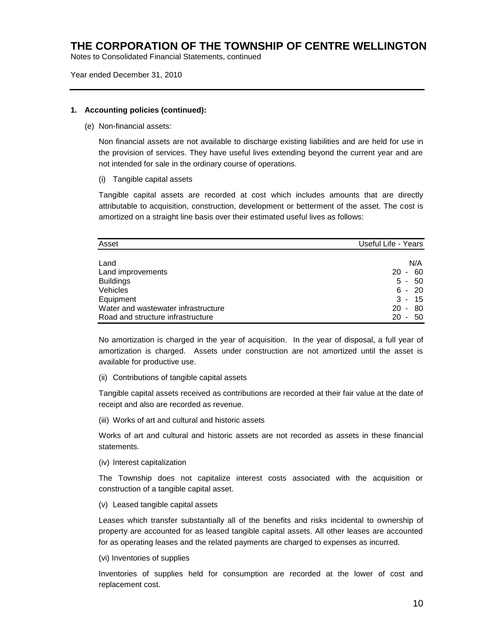Notes to Consolidated Financial Statements, continued

Year ended December 31, 2010

#### **1. Accounting policies (continued):**

(e) Non-financial assets:

Non financial assets are not available to discharge existing liabilities and are held for use in the provision of services. They have useful lives extending beyond the current year and are not intended for sale in the ordinary course of operations.

(i) Tangible capital assets

Tangible capital assets are recorded at cost which includes amounts that are directly attributable to acquisition, construction, development or betterment of the asset. The cost is amortized on a straight line basis over their estimated useful lives as follows:

| Asset                               | Useful Life - Years                  |
|-------------------------------------|--------------------------------------|
|                                     |                                      |
| Land                                | N/A                                  |
| Land improvements                   | - 60<br>20<br>$\sim$                 |
| <b>Buildings</b>                    | -50<br>5 -                           |
| Vehicles                            | $6 - 20$                             |
| Equipment                           | $3 -$<br>-15                         |
| Water and wastewater infrastructure | $20 -$<br>-80                        |
| Road and structure infrastructure   | 20<br>50<br>$\overline{\phantom{a}}$ |

No amortization is charged in the year of acquisition. In the year of disposal, a full year of amortization is charged. Assets under construction are not amortized until the asset is available for productive use.

(ii) Contributions of tangible capital assets

Tangible capital assets received as contributions are recorded at their fair value at the date of receipt and also are recorded as revenue.

(iii) Works of art and cultural and historic assets

Works of art and cultural and historic assets are not recorded as assets in these financial statements.

(iv) Interest capitalization

The Township does not capitalize interest costs associated with the acquisition or construction of a tangible capital asset.

(v) Leased tangible capital assets

Leases which transfer substantially all of the benefits and risks incidental to ownership of property are accounted for as leased tangible capital assets. All other leases are accounted for as operating leases and the related payments are charged to expenses as incurred.

(vi) Inventories of supplies

Inventories of supplies held for consumption are recorded at the lower of cost and replacement cost.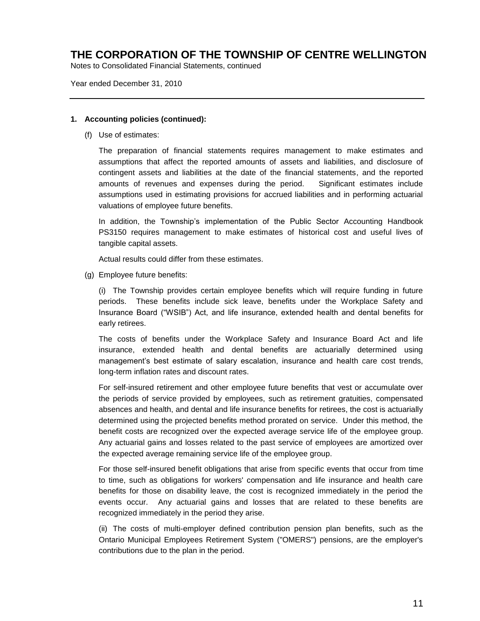Notes to Consolidated Financial Statements, continued

Year ended December 31, 2010

#### **1. Accounting policies (continued):**

(f) Use of estimates:

The preparation of financial statements requires management to make estimates and assumptions that affect the reported amounts of assets and liabilities, and disclosure of contingent assets and liabilities at the date of the financial statements, and the reported amounts of revenues and expenses during the period. Significant estimates include assumptions used in estimating provisions for accrued liabilities and in performing actuarial valuations of employee future benefits.

In addition, the Township's implementation of the Public Sector Accounting Handbook PS3150 requires management to make estimates of historical cost and useful lives of tangible capital assets.

Actual results could differ from these estimates.

(g) Employee future benefits:

(i) The Township provides certain employee benefits which will require funding in future periods. These benefits include sick leave, benefits under the Workplace Safety and Insurance Board ("WSIB") Act, and life insurance, extended health and dental benefits for early retirees.

The costs of benefits under the Workplace Safety and Insurance Board Act and life insurance, extended health and dental benefits are actuarially determined using management's best estimate of salary escalation, insurance and health care cost trends, long-term inflation rates and discount rates.

For self-insured retirement and other employee future benefits that vest or accumulate over the periods of service provided by employees, such as retirement gratuities, compensated absences and health, and dental and life insurance benefits for retirees, the cost is actuarially determined using the projected benefits method prorated on service. Under this method, the benefit costs are recognized over the expected average service life of the employee group. Any actuarial gains and losses related to the past service of employees are amortized over the expected average remaining service life of the employee group.

For those self-insured benefit obligations that arise from specific events that occur from time to time, such as obligations for workers' compensation and life insurance and health care benefits for those on disability leave, the cost is recognized immediately in the period the events occur. Any actuarial gains and losses that are related to these benefits are recognized immediately in the period they arise.

(ii) The costs of multi-employer defined contribution pension plan benefits, such as the Ontario Municipal Employees Retirement System ("OMERS") pensions, are the employer's contributions due to the plan in the period.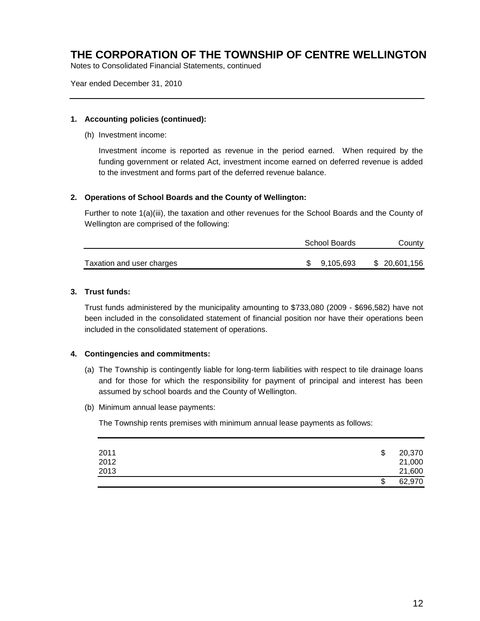Notes to Consolidated Financial Statements, continued

Year ended December 31, 2010

#### **1. Accounting policies (continued):**

(h) Investment income:

Investment income is reported as revenue in the period earned. When required by the funding government or related Act, investment income earned on deferred revenue is added to the investment and forms part of the deferred revenue balance.

#### **2. Operations of School Boards and the County of Wellington:**

Further to note 1(a)(iii), the taxation and other revenues for the School Boards and the County of Wellington are comprised of the following:

|                           | School Boards | County       |
|---------------------------|---------------|--------------|
| Taxation and user charges | \$ 9,105,693  | \$20,601,156 |

#### **3. Trust funds:**

Trust funds administered by the municipality amounting to \$733,080 (2009 - \$696,582) have not been included in the consolidated statement of financial position nor have their operations been included in the consolidated statement of operations.

#### **4. Contingencies and commitments:**

- (a) The Township is contingently liable for long-term liabilities with respect to tile drainage loans and for those for which the responsibility for payment of principal and interest has been assumed by school boards and the County of Wellington.
- (b) Minimum annual lease payments:

The Township rents premises with minimum annual lease payments as follows:

| 2011 |    |        |
|------|----|--------|
|      | \$ | 20,370 |
| 2012 |    | 21,000 |
| 2013 |    | 21,600 |
|      | S  | 62,970 |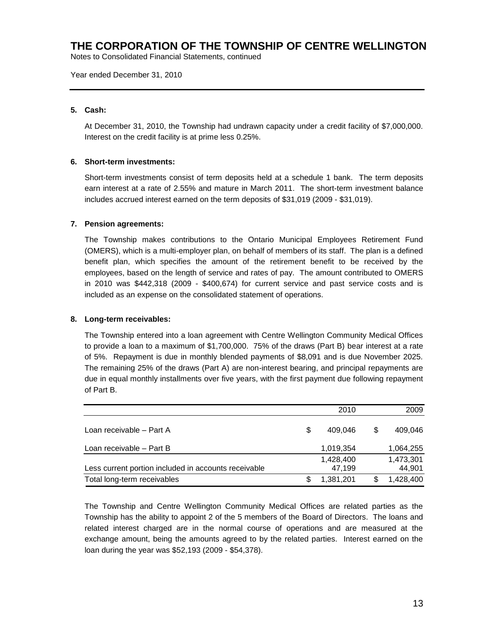Notes to Consolidated Financial Statements, continued

Year ended December 31, 2010

#### **5. Cash:**

At December 31, 2010, the Township had undrawn capacity under a credit facility of \$7,000,000. Interest on the credit facility is at prime less 0.25%.

#### **6. Short-term investments:**

Short-term investments consist of term deposits held at a schedule 1 bank. The term deposits earn interest at a rate of 2.55% and mature in March 2011. The short-term investment balance includes accrued interest earned on the term deposits of \$31,019 (2009 - \$31,019).

#### **7. Pension agreements:**

The Township makes contributions to the Ontario Municipal Employees Retirement Fund (OMERS), which is a multi-employer plan, on behalf of members of its staff. The plan is a defined benefit plan, which specifies the amount of the retirement benefit to be received by the employees, based on the length of service and rates of pay. The amount contributed to OMERS in 2010 was \$442,318 (2009 - \$400,674) for current service and past service costs and is included as an expense on the consolidated statement of operations.

#### **8. Long-term receivables:**

The Township entered into a loan agreement with Centre Wellington Community Medical Offices to provide a loan to a maximum of \$1,700,000. 75% of the draws (Part B) bear interest at a rate of 5%. Repayment is due in monthly blended payments of \$8,091 and is due November 2025. The remaining 25% of the draws (Part A) are non-interest bearing, and principal repayments are due in equal monthly installments over five years, with the first payment due following repayment of Part B.

|                                                      |   | 2010                |    | 2009                |
|------------------------------------------------------|---|---------------------|----|---------------------|
| Loan receivable - Part A                             | S | 409.046             | \$ | 409.046             |
| Loan receivable - Part B                             |   | 1,019,354           |    | 1,064,255           |
| Less current portion included in accounts receivable |   | 1,428,400<br>47.199 |    | 1,473,301<br>44,901 |
| Total long-term receivables                          |   | 1,381,201           | S  | 1,428,400           |

The Township and Centre Wellington Community Medical Offices are related parties as the Township has the ability to appoint 2 of the 5 members of the Board of Directors. The loans and related interest charged are in the normal course of operations and are measured at the exchange amount, being the amounts agreed to by the related parties. Interest earned on the loan during the year was \$52,193 (2009 - \$54,378).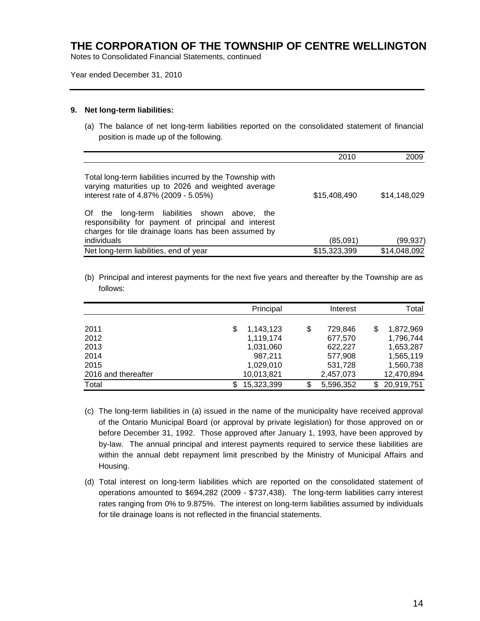Notes to Consolidated Financial Statements, continued

Year ended December 31, 2010

#### **9. Net long-term liabilities:**

(a) The balance of net long-term liabilities reported on the consolidated statement of financial position is made up of the following.

|                                                                                                                                                              | 2010         | 2009         |
|--------------------------------------------------------------------------------------------------------------------------------------------------------------|--------------|--------------|
| Total long-term liabilities incurred by the Township with<br>varying maturities up to 2026 and weighted average<br>interest rate of 4.87% (2009 - 5.05%)     | \$15,408,490 | \$14,148,029 |
| Of the long-term liabilities shown above, the<br>responsibility for payment of principal and interest<br>charges for tile drainage loans has been assumed by |              |              |
| individuals                                                                                                                                                  | (85,091)     | (99, 937)    |
| Net long-term liabilities, end of year                                                                                                                       | \$15,323,399 | \$14,048,092 |

(b) Principal and interest payments for the next five years and thereafter by the Township are as follows:

|                     | Principal  | Interest       | Total             |
|---------------------|------------|----------------|-------------------|
|                     |            |                |                   |
| 2011                | 1,143,123  | \$<br>729.846  | \$<br>1,872,969   |
| 2012                | 1,119,174  | 677,570        | 1,796,744         |
| 2013                | 1,031,060  | 622,227        | 1,653,287         |
| 2014                | 987,211    | 577,908        | 1,565,119         |
| 2015                | 1,029,010  | 531,728        | 1,560,738         |
| 2016 and thereafter | 10,013,821 | 2,457,073      | 12,470,894        |
| Total               | 15,323,399 | 5,596,352<br>S | 20,919,751<br>\$. |

- (c) The long-term liabilities in (a) issued in the name of the municipality have received approval of the Ontario Municipal Board (or approval by private legislation) for those approved on or before December 31, 1992. Those approved after January 1, 1993, have been approved by by-law. The annual principal and interest payments required to service these liabilities are within the annual debt repayment limit prescribed by the Ministry of Municipal Affairs and Housing.
- (d) Total interest on long-term liabilities which are reported on the consolidated statement of operations amounted to \$694,282 (2009 - \$737,438). The long-term liabilities carry interest rates ranging from 0% to 9.875%. The interest on long-term liabilities assumed by individuals for tile drainage loans is not reflected in the financial statements.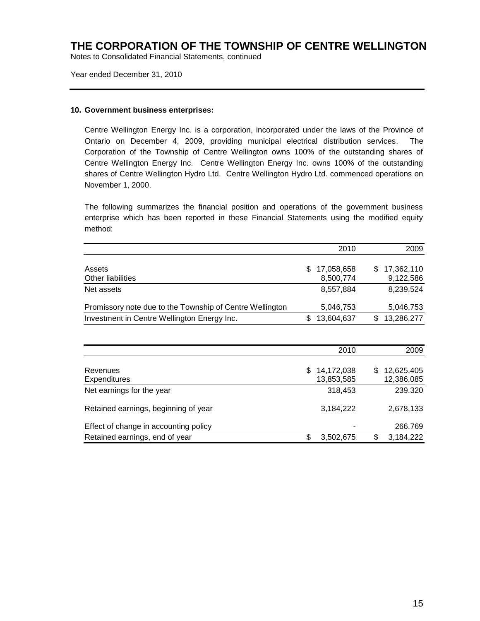Notes to Consolidated Financial Statements, continued

Year ended December 31, 2010

#### **10. Government business enterprises:**

Centre Wellington Energy Inc. is a corporation, incorporated under the laws of the Province of Ontario on December 4, 2009, providing municipal electrical distribution services. The Corporation of the Township of Centre Wellington owns 100% of the outstanding shares of Centre Wellington Energy Inc. Centre Wellington Energy Inc. owns 100% of the outstanding shares of Centre Wellington Hydro Ltd. Centre Wellington Hydro Ltd. commenced operations on November 1, 2000.

The following summarizes the financial position and operations of the government business enterprise which has been reported in these Financial Statements using the modified equity method:

|                                                          | 2010            | 2009              |
|----------------------------------------------------------|-----------------|-------------------|
|                                                          |                 |                   |
| Assets                                                   | 17,058,658<br>S | 17,362,110<br>\$. |
| <b>Other liabilities</b>                                 | 8,500,774       | 9,122,586         |
| Net assets                                               | 8,557,884       | 8,239,524         |
| Promissory note due to the Township of Centre Wellington | 5.046,753       | 5,046,753         |
| Investment in Centre Wellington Energy Inc.              | 13,604,637      | 13,286,277        |
|                                                          |                 |                   |
|                                                          |                 |                   |

|                                       | 2010                          |     | 2009                     |
|---------------------------------------|-------------------------------|-----|--------------------------|
| Revenues<br><b>Expenditures</b>       | 14,172,038<br>S<br>13,853,585 | \$. | 12,625,405<br>12,386,085 |
| Net earnings for the year             | 318,453                       |     | 239,320                  |
| Retained earnings, beginning of year  | 3,184,222                     |     | 2,678,133                |
| Effect of change in accounting policy |                               |     | 266,769                  |
| Retained earnings, end of year        | 3,502,675<br>ፍ                |     | 3,184,222                |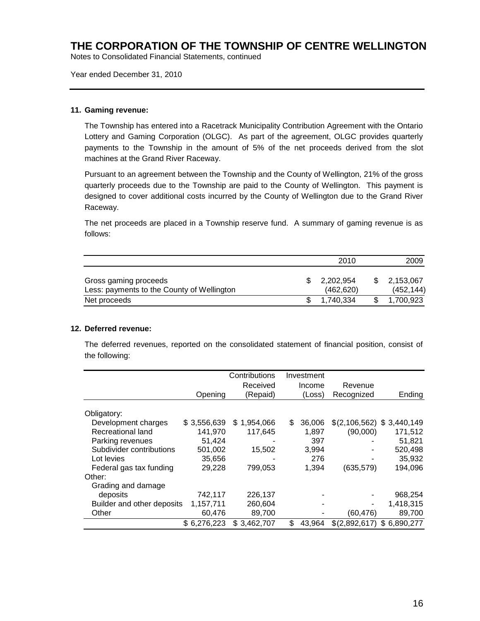Notes to Consolidated Financial Statements, continued

Year ended December 31, 2010

#### **11. Gaming revenue:**

The Township has entered into a Racetrack Municipality Contribution Agreement with the Ontario Lottery and Gaming Corporation (OLGC). As part of the agreement, OLGC provides quarterly payments to the Township in the amount of 5% of the net proceeds derived from the slot machines at the Grand River Raceway.

Pursuant to an agreement between the Township and the County of Wellington, 21% of the gross quarterly proceeds due to the Township are paid to the County of Wellington. This payment is designed to cover additional costs incurred by the County of Wellington due to the Grand River Raceway.

The net proceeds are placed in a Township reserve fund. A summary of gaming revenue is as follows:

|                                                                     | 2010                    | 2009                    |
|---------------------------------------------------------------------|-------------------------|-------------------------|
| Gross gaming proceeds<br>Less: payments to the County of Wellington | 2,202,954<br>(462, 620) | 2,153,067<br>(452, 144) |
| Net proceeds                                                        | 1.740.334               | 1,700,923               |

#### **12. Deferred revenue:**

The deferred revenues, reported on the consolidated statement of financial position, consist of the following:

|                            |             | Contributions | Investment   |                             |             |
|----------------------------|-------------|---------------|--------------|-----------------------------|-------------|
|                            |             | Received      | Income       | Revenue                     |             |
|                            | Opening     | (Repaid)      | (Loss)       | Recognized                  | Ending      |
| Obligatory:                |             |               |              |                             |             |
| Development charges        | \$3,556,639 | \$1.954.066   | \$<br>36,006 | $$(2,106,562)$ \$ 3,440,149 |             |
| Recreational land          | 141,970     | 117,645       | 1,897        | (90,000)                    | 171,512     |
| Parking revenues           | 51,424      |               | 397          |                             | 51,821      |
| Subdivider contributions   | 501,002     | 15,502        | 3,994        |                             | 520,498     |
| Lot levies                 | 35,656      |               | 276          |                             | 35,932      |
| Federal gas tax funding    | 29,228      | 799,053       | 1,394        | (635, 579)                  | 194,096     |
| Other:                     |             |               |              |                             |             |
| Grading and damage         |             |               |              |                             |             |
| deposits                   | 742,117     | 226,137       |              |                             | 968,254     |
| Builder and other deposits | 1,157,711   | 260,604       |              | ۰                           | 1,418,315   |
| Other                      | 60,476      | 89,700        |              | (60,476)                    | 89,700      |
|                            | \$6,276,223 | \$3,462,707   | \$<br>43,964 | \$(2,892,617)               | \$6,890,277 |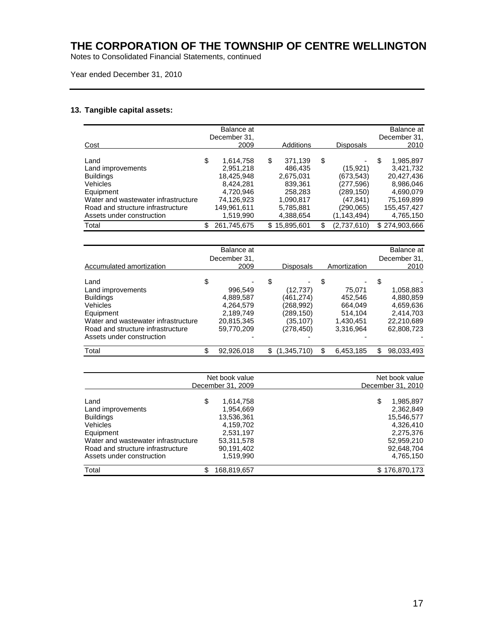Notes to Consolidated Financial Statements, continued

Year ended December 31, 2010

### **13. Tangible capital assets:**

| Cost                                                                                                                                                                                     |          | Balance at<br>December 31,<br>2009                                                                                      | Additions                                                                                                          |          | <b>Disposals</b>                                                                                             | Balance at<br>December 31,<br>2010                                                                                              |
|------------------------------------------------------------------------------------------------------------------------------------------------------------------------------------------|----------|-------------------------------------------------------------------------------------------------------------------------|--------------------------------------------------------------------------------------------------------------------|----------|--------------------------------------------------------------------------------------------------------------|---------------------------------------------------------------------------------------------------------------------------------|
| Land<br>Land improvements<br><b>Buildings</b><br>Vehicles<br>Equipment<br>Water and wastewater infrastructure<br>Road and structure infrastructure<br>Assets under construction<br>Total | \$<br>\$ | 1,614,758<br>2,951,218<br>18.425.948<br>8,424,281<br>4.720.946<br>74.126.923<br>149,961,611<br>1,519,990<br>261,745,675 | \$<br>371.139<br>486.435<br>2,675,031<br>839,361<br>258,283<br>1,090,817<br>5,785,881<br>4,388,654<br>\$15,895,601 | \$<br>\$ | (15, 921)<br>(673, 543)<br>(277,596)<br>(289, 150)<br>(47, 841)<br>(290,065)<br>(1, 143, 494)<br>(2,737,610) | \$<br>1,985,897<br>3,421,732<br>20,427,436<br>8,986,046<br>4.690.079<br>75,169,899<br>155,457,427<br>4,765,150<br>\$274,903,666 |

| Accumulated amortization                                                                                                                                                               | Balance at<br>December 31,<br>2009                                               | <b>Disposals</b>                                                               | Amortization                                                            | Balance at<br>December 31,<br>2010                                                 |
|----------------------------------------------------------------------------------------------------------------------------------------------------------------------------------------|----------------------------------------------------------------------------------|--------------------------------------------------------------------------------|-------------------------------------------------------------------------|------------------------------------------------------------------------------------|
| Land<br>Land improvements<br><b>Buildings</b><br><b>Vehicles</b><br>Equipment<br>Water and wastewater infrastructure<br>Road and structure infrastructure<br>Assets under construction | \$<br>996.549<br>4,889,587<br>4,264,579<br>2,189,749<br>20,815,345<br>59,770,209 | \$<br>(12,737)<br>(461,274)<br>(268,992)<br>(289,150)<br>(35,107)<br>(278,450) | \$<br>75,071<br>452.546<br>664.049<br>514.104<br>1,430,451<br>3,316,964 | \$<br>1,058,883<br>4,880,859<br>4,659,636<br>2,414,703<br>22,210,689<br>62,808,723 |
| Total                                                                                                                                                                                  | \$<br>92,926,018                                                                 | (1,345,710)                                                                    | \$<br>6,453,185                                                         | \$<br>98,033,493                                                                   |

|                                                                                                                                                           |    | Net book value<br>December 31, 2009                                                        | December 31, 2010 | Net book value                                                                             |
|-----------------------------------------------------------------------------------------------------------------------------------------------------------|----|--------------------------------------------------------------------------------------------|-------------------|--------------------------------------------------------------------------------------------|
| Land<br>Land improvements<br><b>Buildings</b><br><b>Vehicles</b><br>Equipment<br>Water and wastewater infrastructure<br>Road and structure infrastructure | \$ | 1,614,758<br>1,954,669<br>13,536,361<br>4,159,702<br>2,531,197<br>53,311,578<br>90,191,402 | \$                | 1,985,897<br>2,362,849<br>15,546,577<br>4,326,410<br>2,275,376<br>52,959,210<br>92,648,704 |
| Assets under construction                                                                                                                                 |    | 1.519.990                                                                                  |                   | 4,765,150                                                                                  |
| Total                                                                                                                                                     | S  | 168,819,657                                                                                |                   | \$176,870,173                                                                              |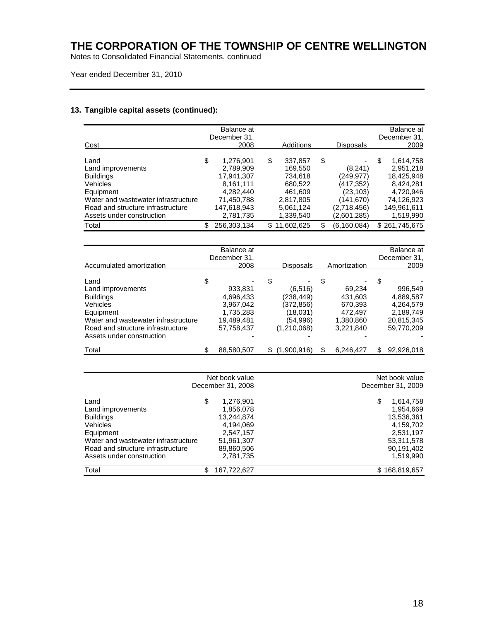Notes to Consolidated Financial Statements, continued

Year ended December 31, 2010

### **13. Tangible capital assets (continued):**

| Cost                                                                                                                                                                            | Balance at<br>December 31,<br>2008                                                                             | Additions                                                                                        | <b>Disposals</b>                                                                                  | Balance at<br>December 31,<br>2009                                                                             |
|---------------------------------------------------------------------------------------------------------------------------------------------------------------------------------|----------------------------------------------------------------------------------------------------------------|--------------------------------------------------------------------------------------------------|---------------------------------------------------------------------------------------------------|----------------------------------------------------------------------------------------------------------------|
| Land<br>Land improvements<br><b>Buildings</b><br>Vehicles<br>Equipment<br>Water and wastewater infrastructure<br>Road and structure infrastructure<br>Assets under construction | \$<br>1,276,901<br>2,789,909<br>17,941,307<br>8,161,111<br>4.282.440<br>71,450,788<br>147,618,943<br>2,781,735 | \$<br>337.857<br>169,550<br>734,618<br>680,522<br>461.609<br>2,817,805<br>5,061,124<br>1,339,540 | \$<br>(8,241)<br>(249, 977)<br>(417,352)<br>(23, 103)<br>(141, 670)<br>(2,718,456)<br>(2,601,285) | \$<br>1,614,758<br>2,951,218<br>18,425,948<br>8,424,281<br>4.720.946<br>74,126,923<br>149,961,611<br>1,519,990 |
| Total                                                                                                                                                                           | \$<br>256,303,134                                                                                              | \$11,602,625                                                                                     | \$<br>(6, 160, 084)                                                                               | \$261,745,675                                                                                                  |

| Accumulated amortization                                                                                                                                                               | Balance at<br>December 31,<br>2008                                               | <b>Disposals</b>                                                                | Amortization                                                            | Balance at<br>December 31,<br>2009                                               |
|----------------------------------------------------------------------------------------------------------------------------------------------------------------------------------------|----------------------------------------------------------------------------------|---------------------------------------------------------------------------------|-------------------------------------------------------------------------|----------------------------------------------------------------------------------|
| Land<br>Land improvements<br><b>Buildings</b><br><b>Vehicles</b><br>Equipment<br>Water and wastewater infrastructure<br>Road and structure infrastructure<br>Assets under construction | \$<br>933,831<br>4,696,433<br>3,967,042<br>1,735,283<br>19,489,481<br>57,758,437 | \$<br>(6, 516)<br>(238,449)<br>(372,856)<br>(18,031)<br>(54,996)<br>(1,210,068) | \$<br>69,234<br>431,603<br>670,393<br>472.497<br>1,380,860<br>3,221,840 | \$<br>996,549<br>4,889,587<br>4,264,579<br>2,189,749<br>20,815,345<br>59,770,209 |
| Total                                                                                                                                                                                  | \$<br>88,580,507                                                                 | (1,900,916)                                                                     | \$<br>6,246,427                                                         | \$<br>92,926,018                                                                 |

| Net book value<br>December 31, 2008                                                                   |    |                                                                | Net book value<br>December 31, 2009                                  |
|-------------------------------------------------------------------------------------------------------|----|----------------------------------------------------------------|----------------------------------------------------------------------|
| Land<br>Land improvements<br><b>Buildings</b><br><b>Vehicles</b><br>Equipment                         | \$ | 1,276,901<br>1,856,078<br>13,244,874<br>4,194,069<br>2,547,157 | \$<br>1,614,758<br>1,954,669<br>13,536,361<br>4,159,702<br>2,531,197 |
| Water and wastewater infrastructure<br>Road and structure infrastructure<br>Assets under construction |    | 51,961,307<br>89,860,506<br>2,781,735                          | 53,311,578<br>90,191,402<br>1,519,990                                |
| Total                                                                                                 | \$ | 167,722,627                                                    | \$168,819,657                                                        |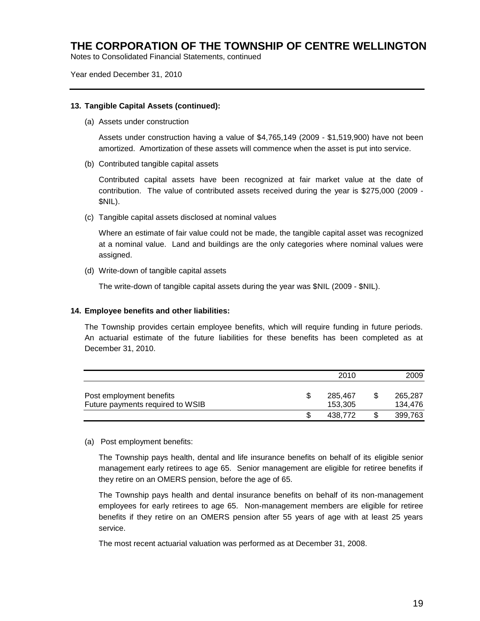Notes to Consolidated Financial Statements, continued

Year ended December 31, 2010

#### **13. Tangible Capital Assets (continued):**

(a) Assets under construction

Assets under construction having a value of \$4,765,149 (2009 - \$1,519,900) have not been amortized. Amortization of these assets will commence when the asset is put into service.

(b) Contributed tangible capital assets

Contributed capital assets have been recognized at fair market value at the date of contribution. The value of contributed assets received during the year is \$275,000 (2009 - \$NIL).

(c) Tangible capital assets disclosed at nominal values

Where an estimate of fair value could not be made, the tangible capital asset was recognized at a nominal value. Land and buildings are the only categories where nominal values were assigned.

(d) Write-down of tangible capital assets

The write-down of tangible capital assets during the year was \$NIL (2009 - \$NIL).

#### **14. Employee benefits and other liabilities:**

The Township provides certain employee benefits, which will require funding in future periods. An actuarial estimate of the future liabilities for these benefits has been completed as at December 31, 2010.

|                                                              | 2010               |     | 2009               |
|--------------------------------------------------------------|--------------------|-----|--------------------|
| Post employment benefits<br>Future payments required to WSIB | 285,467<br>153.305 | \$. | 265,287<br>134.476 |
|                                                              | 438.772            |     | 399.763            |

#### (a) Post employment benefits:

The Township pays health, dental and life insurance benefits on behalf of its eligible senior management early retirees to age 65. Senior management are eligible for retiree benefits if they retire on an OMERS pension, before the age of 65.

The Township pays health and dental insurance benefits on behalf of its non-management employees for early retirees to age 65. Non-management members are eligible for retiree benefits if they retire on an OMERS pension after 55 years of age with at least 25 years service.

The most recent actuarial valuation was performed as at December 31, 2008.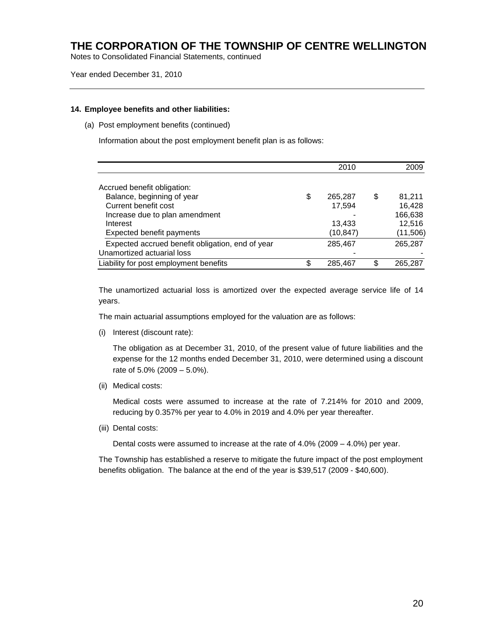Notes to Consolidated Financial Statements, continued

Year ended December 31, 2010

#### **14. Employee benefits and other liabilities:**

(a) Post employment benefits (continued)

Information about the post employment benefit plan is as follows:

|                                                           | 2010          |    | 2009     |
|-----------------------------------------------------------|---------------|----|----------|
|                                                           |               |    |          |
| Accrued benefit obligation:<br>Balance, beginning of year | \$<br>265,287 | \$ | 81.211   |
| Current benefit cost                                      |               |    | 16,428   |
|                                                           | 17,594        |    |          |
| Increase due to plan amendment                            |               |    | 166,638  |
| Interest                                                  | 13,433        |    | 12.516   |
| <b>Expected benefit payments</b>                          | (10,847)      |    | (11,506) |
| Expected accrued benefit obligation, end of year          | 285,467       |    | 265,287  |
| Unamortized actuarial loss                                |               |    |          |
| Liability for post employment benefits                    | \$<br>285,467 | œ  | 265,287  |

The unamortized actuarial loss is amortized over the expected average service life of 14 years.

The main actuarial assumptions employed for the valuation are as follows:

(i) Interest (discount rate):

The obligation as at December 31, 2010, of the present value of future liabilities and the expense for the 12 months ended December 31, 2010, were determined using a discount rate of 5.0% (2009 – 5.0%).

(ii) Medical costs:

Medical costs were assumed to increase at the rate of 7.214% for 2010 and 2009, reducing by 0.357% per year to 4.0% in 2019 and 4.0% per year thereafter.

(iii) Dental costs:

Dental costs were assumed to increase at the rate of 4.0% (2009 – 4.0%) per year.

The Township has established a reserve to mitigate the future impact of the post employment benefits obligation. The balance at the end of the year is \$39,517 (2009 - \$40,600).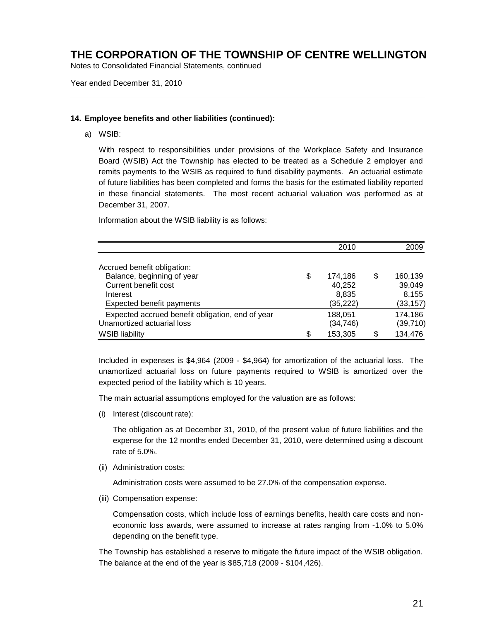Notes to Consolidated Financial Statements, continued

Year ended December 31, 2010

#### **14. Employee benefits and other liabilities (continued):**

a) WSIB:

With respect to responsibilities under provisions of the Workplace Safety and Insurance Board (WSIB) Act the Township has elected to be treated as a Schedule 2 employer and remits payments to the WSIB as required to fund disability payments. An actuarial estimate of future liabilities has been completed and forms the basis for the estimated liability reported in these financial statements. The most recent actuarial valuation was performed as at December 31, 2007.

Information about the WSIB liability is as follows:

|                                                                                   | 2010                    |   | 2009                 |
|-----------------------------------------------------------------------------------|-------------------------|---|----------------------|
| Accrued benefit obligation:<br>Balance, beginning of year<br>Current benefit cost | \$<br>174,186<br>40,252 | S | 160,139<br>39,049    |
| Interest<br><b>Expected benefit payments</b>                                      | 8,835<br>(35, 222)      |   | 8,155<br>(33, 157)   |
| Expected accrued benefit obligation, end of year<br>Unamortized actuarial loss    | 188,051<br>(34, 746)    |   | 174,186<br>(39, 710) |
| <b>WSIB liability</b>                                                             | \$<br>153,305           |   | 134,476              |

Included in expenses is \$4,964 (2009 - \$4,964) for amortization of the actuarial loss. The unamortized actuarial loss on future payments required to WSIB is amortized over the expected period of the liability which is 10 years.

The main actuarial assumptions employed for the valuation are as follows:

(i) Interest (discount rate):

The obligation as at December 31, 2010, of the present value of future liabilities and the expense for the 12 months ended December 31, 2010, were determined using a discount rate of 5.0%.

(ii) Administration costs:

Administration costs were assumed to be 27.0% of the compensation expense.

(iii) Compensation expense:

Compensation costs, which include loss of earnings benefits, health care costs and noneconomic loss awards, were assumed to increase at rates ranging from -1.0% to 5.0% depending on the benefit type.

The Township has established a reserve to mitigate the future impact of the WSIB obligation. The balance at the end of the year is \$85,718 (2009 - \$104,426).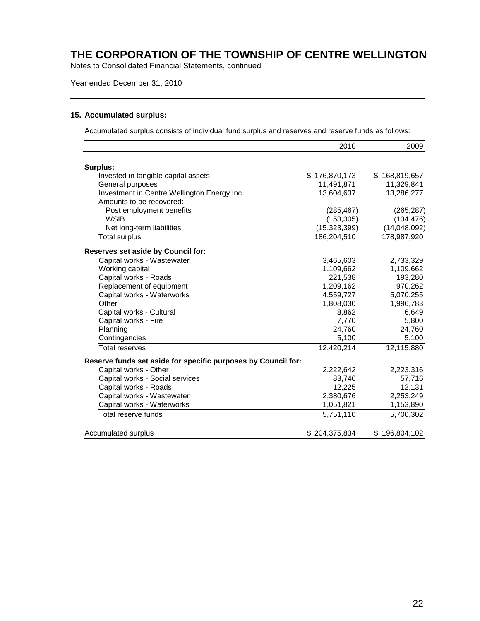Notes to Consolidated Financial Statements, continued

Year ended December 31, 2010

#### **15. Accumulated surplus:**

Accumulated surplus consists of individual fund surplus and reserves and reserve funds as follows:

|                                                               | 2010           | 2009          |
|---------------------------------------------------------------|----------------|---------------|
| Surplus:                                                      |                |               |
| Invested in tangible capital assets                           | \$176,870,173  | \$168,819,657 |
| General purposes                                              | 11,491,871     | 11,329,841    |
| Investment in Centre Wellington Energy Inc.                   | 13,604,637     | 13,286,277    |
| Amounts to be recovered:                                      |                |               |
| Post employment benefits                                      | (285, 467)     | (265, 287)    |
| <b>WSIB</b>                                                   | (153, 305)     | (134, 476)    |
| Net long-term liabilities                                     | (15, 323, 399) | (14,048,092)  |
| <b>Total surplus</b>                                          | 186,204,510    | 178,987,920   |
| Reserves set aside by Council for:                            |                |               |
| Capital works - Wastewater                                    | 3,465,603      | 2,733,329     |
| Working capital                                               | 1,109,662      | 1,109,662     |
| Capital works - Roads                                         | 221.538        | 193,280       |
| Replacement of equipment                                      | 1,209,162      | 970,262       |
| Capital works - Waterworks                                    | 4,559,727      | 5,070,255     |
| Other                                                         | 1,808,030      | 1,996,783     |
| Capital works - Cultural                                      | 8,862          | 6,649         |
| Capital works - Fire                                          | 7,770          | 5,800         |
| Planning                                                      | 24,760         | 24,760        |
| Contingencies                                                 | 5,100          | 5,100         |
| <b>Total reserves</b>                                         | 12,420,214     | 12,115,880    |
| Reserve funds set aside for specific purposes by Council for: |                |               |
| Capital works - Other                                         | 2,222,642      | 2,223,316     |
| Capital works - Social services                               | 83,746         | 57,716        |
| Capital works - Roads                                         | 12,225         | 12,131        |
| Capital works - Wastewater                                    | 2,380,676      | 2,253,249     |
| Capital works - Waterworks                                    | 1,051,821      | 1,153,890     |
| Total reserve funds                                           | 5,751,110      | 5,700,302     |
| Accumulated surplus                                           | \$204,375,834  | \$196,804,102 |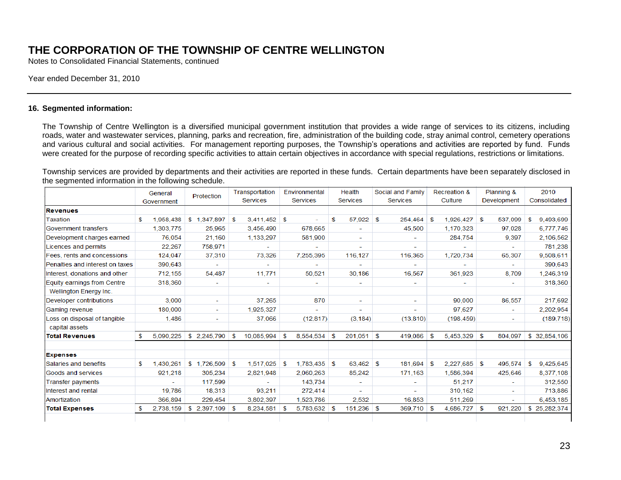Notes to Consolidated Financial Statements, continued

Year ended December 31, 2010

#### **16. Segmented information:**

The Township of Centre Wellington is a diversified municipal government institution that provides a wide range of services to its citizens, including roads, water and wastewater services, planning, parks and recreation, fire, administration of the building code, stray animal control, cemetery operations and various cultural and social activities. For management reporting purposes, the Township's operations and activities are reported by fund. Funds were created for the purpose of recording specific activities to attain certain objectives in accordance with special regulations, restrictions or limitations.

Township services are provided by departments and their activities are reported in these funds. Certain departments have been separately disclosed in the segmented information in the following schedule.

|                                 | General |            | Protection           |          | Transportation |          | Environmental  |    | <b>Health</b> |     | Social and Family        |         | Recreation &   |             | Planning & |              | 2010         |
|---------------------------------|---------|------------|----------------------|----------|----------------|----------|----------------|----|---------------|-----|--------------------------|---------|----------------|-------------|------------|--------------|--------------|
|                                 |         | Government |                      | Services |                | Services | Services       |    | Services      |     |                          | Culture |                | Development |            | Consolidated |              |
| <b>Revenues</b>                 |         |            |                      |          |                |          |                |    |               |     |                          |         |                |             |            |              |              |
| Taxation                        | S       | 1,958,438  | \$1,347,897          | -S       | $3.411.452$ \$ |          |                | S  | 57,922        | - S | 254,464 \$               |         | $1,926,427$ \$ |             | 537.099    | S            | 9,493,699    |
| Government transfers            |         | 1,303,775  | 25,965               |          | 3,456,490      |          | 678,665        |    |               |     | 45,500                   |         | 1,170,323      |             | 97,028     |              | 6,777,746    |
| Development charges earned      |         | 76,054     | 21,160               |          | 1,133,297      |          | 581,900        |    | ٠             |     | ÷                        |         | 284,754        |             | 9,397      |              | 2,106,562    |
| Licences and permits            |         | 22,267     | 758,971              |          |                |          |                |    | ÷             |     | Ξ.                       |         |                |             | ÷          |              | 781,238      |
| Fees, rents and concessions     |         | 124.047    | 37,310               |          | 73.326         |          | 7.255.395      |    | 116.127       |     | 116,365                  |         | 1.720.734      |             | 65,307     |              | 9,508,611    |
| Penalties and interest on taxes |         | 390,643    | ÷                    |          | ۰              |          |                |    |               |     | -                        |         | -              |             | ٠          |              | 390,643      |
| Interest, donations and other   |         | 712,155    | 54,487               |          | 11,771         |          | 50,521         |    | 30.186        |     | 16,567                   |         | 361,923        |             | 8,709      |              | 1,246,319    |
| Equity earnings from Centre     |         | 318,360    | ٠                    |          | ٠              |          |                |    |               |     | $\overline{\phantom{0}}$ |         |                |             | ٠          |              | 318,360      |
| Wellington Energy Inc.          |         |            |                      |          |                |          |                |    |               |     |                          |         |                |             |            |              |              |
| Developer contributions         |         | 3,000      | ۰                    |          | 37,265         |          | 870            |    | ٠             |     | ۰                        |         | 90,000         |             | 86,557     |              | 217,692      |
| Gaming revenue                  |         | 180,000    | ٠                    |          | 1,925,327      |          |                |    |               |     |                          |         | 97,627         |             | ÷          |              | 2,202,954    |
| Loss on disposal of tangible    |         | 1.486      | ۰                    |          | 37,066         |          | (12, 817)      |    | (3, 184)      |     | (13, 810)                |         | (198, 459)     |             | ۰          |              | (189, 718)   |
| capital assets                  |         |            |                      |          |                |          |                |    |               |     |                          |         |                |             |            |              |              |
| <b>Total Revenues</b>           | S       | 5,090,225  | $$2,245,790$ \ \$    |          | 10.085.994     | S        | $8,554,534$ \$ |    | $201.051$ \$  |     | 419,086 \$               |         | $5.453.329$ \$ |             | 804.097    |              | \$32,854,106 |
| <b>Expenses</b>                 |         |            |                      |          |                |          |                |    |               |     |                          |         |                |             |            |              |              |
| Salaries and benefits           | S       | 1,430,261  | \$1,726,509          | - S      | 1,517,025      | s.       | 1,783,435      | -S | $63,462$ \$   |     | 181,694                  | - \$    | $2,227,685$ \$ |             | 495,574    | S            | 9,425,645    |
| Goods and services              |         | 921,218    | 305,234              |          | 2,821,948      |          | 2.060.263      |    | 85,242        |     | 171,163                  |         | 1,586,394      |             | 425,646    |              | 8,377,108    |
| Transfer payments               |         |            | 117,599              |          |                |          | 143,734        |    |               |     | ٠                        |         | 51,217         |             | ٠          |              | 312,550      |
| Interest and rental             |         | 19,786     | 18,313               |          | 93,211         |          | 272.414        |    |               |     | ۰                        |         | 310,162        |             | ۰          |              | 713,886      |
| Amortization                    |         | 366,894    | 229,454              |          | 3,802,397      |          | 1,523,786      |    | 2,532         |     | 16.853                   |         | 511,269        |             | ÷          |              | 6,453,185    |
| <b>Total Expenses</b>           | S       | 2,738,159  | \$<br>$2,397,109$ \$ |          | 8,234,581      | - \$     | 5,783,632      | S  | $151,236$ \$  |     | 369,710 \$               |         | 4,686,727 \$   |             | 921,220    |              | \$25,282,374 |
|                                 |         |            |                      |          |                |          |                |    |               |     |                          |         |                |             |            |              |              |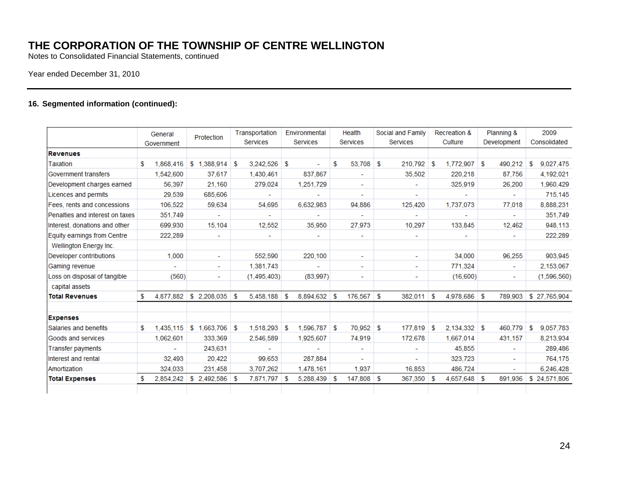Notes to Consolidated Financial Statements, continued

Year ended December 31, 2010

### **16. Segmented information (continued):**

|                                 | General<br>Protection |            | Transportation<br>Environmental |              |    |                 | Health | Social and Family |     | <b>Recreation &amp;</b>  |      | Planning &               | 2009<br>Consolidated |                 |                          |         |              |  |  |
|---------------------------------|-----------------------|------------|---------------------------------|--------------|----|-----------------|--------|-------------------|-----|--------------------------|------|--------------------------|----------------------|-----------------|--------------------------|---------|--------------|--|--|
|                                 |                       | Government |                                 |              |    | <b>Services</b> |        | <b>Services</b>   |     | <b>Services</b>          |      |                          |                      | <b>Services</b> |                          | Culture | Development  |  |  |
| <b>Revenues</b>                 |                       |            |                                 |              |    |                 |        |                   |     |                          |      |                          |                      |                 |                          |         |              |  |  |
| Taxation                        | S                     | 1.868.416  | S.                              | 1.388.914    | S  | $3.242.526$ \$  |        |                   | \$. | 53.708                   | - \$ | 210,792                  | S                    | $1,772,907$ \$  | 490.212                  | S       | 9,027,475    |  |  |
| Government transfers            |                       | 1,542,600  |                                 | 37,617       |    | 1,430,461       |        | 837,867           |     | ۰                        |      | 35,502                   |                      | 220,218         | 87,756                   |         | 4,192,021    |  |  |
| Development charges earned      |                       | 56.397     |                                 | 21,160       |    | 279.024         |        | 1,251,729         |     | ÷                        |      |                          |                      | 325,919         | 26.200                   |         | 1.960.429    |  |  |
| Licences and permits            |                       | 29.539     |                                 | 685,606      |    |                 |        |                   |     | ÷                        |      |                          |                      |                 | $\overline{\phantom{a}}$ |         | 715.145      |  |  |
| Fees, rents and concessions     |                       | 106,522    |                                 | 59,634       |    | 54,695          |        | 6,632,983         |     | 94.886                   |      | 125,420                  |                      | 1,737,073       | 77,018                   |         | 8,888,231    |  |  |
| Penalties and interest on taxes |                       | 351,749    |                                 |              |    |                 |        |                   |     |                          |      |                          |                      |                 |                          |         | 351.749      |  |  |
| Interest, donations and other   |                       | 699,930    |                                 | 15.104       |    | 12.552          |        | 35,950            |     | 27.973                   |      | 10.297                   |                      | 133,845         | 12.462                   |         | 948.113      |  |  |
| Equity earnings from Centre     |                       | 222,289    |                                 |              |    | ۰               |        |                   |     | $\overline{\phantom{a}}$ |      |                          |                      |                 |                          |         | 222,289      |  |  |
| Wellington Energy Inc.          |                       |            |                                 |              |    |                 |        |                   |     |                          |      |                          |                      |                 |                          |         |              |  |  |
| Developer contributions         |                       | 1,000      |                                 | ٠            |    | 552,590         |        | 220,100           |     | $\overline{\phantom{a}}$ |      | $\overline{\phantom{a}}$ |                      | 34,000          | 96,255                   |         | 903,945      |  |  |
| Gaming revenue                  |                       |            |                                 |              |    | 1,381,743       |        |                   |     | ٠                        |      |                          |                      | 771,324         |                          |         | 2,153,067    |  |  |
| Loss on disposal of tangible    |                       | (560)      |                                 |              |    | (1,495,403)     |        | (83,997)          |     | $\blacksquare$           |      |                          |                      | (16,600)        |                          |         | (1,596,560)  |  |  |
| capital assets                  |                       |            |                                 |              |    |                 |        |                   |     |                          |      |                          |                      |                 |                          |         |              |  |  |
| Total Revenues                  | \$.                   | 4.877.882  |                                 | \$ 2,208,035 | S  | $5.458.188$ \$  |        | $8,894,632$ \$    |     | 176,567                  | S    | 382,011                  | S                    | 4,978,686 \$    | 789,903                  |         | \$27.765.904 |  |  |
| <b>Expenses</b>                 |                       |            |                                 |              |    |                 |        |                   |     |                          |      |                          |                      |                 |                          |         |              |  |  |
| Salaries and benefits           | s.                    | 1,435,115  | \$                              | 1,663,706    | s. | 1,518,293       | - \$   | 1,596,787         | S   | 70.952 \$                |      | 177,819                  | s.                   | $2.134.332$ \$  | 460,779                  | \$      | 9,057,783    |  |  |
| Goods and services              |                       | 1,062,601  |                                 | 333,369      |    | 2,546,589       |        | 1,925,607         |     | 74,919                   |      | 172,678                  |                      | 1,667,014       | 431,157                  |         | 8,213,934    |  |  |
| Transfer payments               |                       |            |                                 | 243,631      |    |                 |        |                   |     | ٠                        |      |                          |                      | 45,855          |                          |         | 289.486      |  |  |
| Interest and rental             |                       | 32.493     |                                 | 20,422       |    | 99.653          |        | 287.884           |     | $\overline{\phantom{a}}$ |      |                          |                      | 323,723         |                          |         | 764,175      |  |  |
| Amortization                    |                       | 324.033    |                                 | 231.458      |    | 3.707.262       |        | 1.478.161         |     | 1.937                    |      | 16,853                   |                      | 486,724         |                          |         | 6.246.428    |  |  |
| <b>Total Expenses</b>           | S.                    | 2,854,242  | \$                              | 2,492,586    | s. | 7,871,797 \$    |        | 5,288,439         | S   | $147,808$ \$             |      | 367,350                  | S.                   | $4,657,648$ \$  | 891.936                  |         | \$24,571,806 |  |  |
|                                 |                       |            |                                 |              |    |                 |        |                   |     |                          |      |                          |                      |                 |                          |         |              |  |  |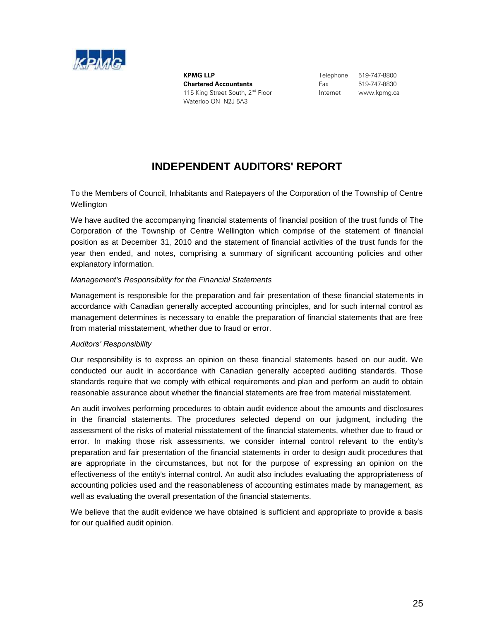

**KPMG LLP** Telephone 519-747-8800 **Chartered Accountants** Fax 519-747-8830 115 King Street South, 2<sup>nd</sup> Floor **Internet** www.kpmg.ca Waterloo ON N2J 5A3

# **INDEPENDENT AUDITORS' REPORT**

To the Members of Council, Inhabitants and Ratepayers of the Corporation of the Township of Centre **Wellington** 

We have audited the accompanying financial statements of financial position of the trust funds of The Corporation of the Township of Centre Wellington which comprise of the statement of financial position as at December 31, 2010 and the statement of financial activities of the trust funds for the year then ended, and notes, comprising a summary of significant accounting policies and other explanatory information.

#### *Management's Responsibility for the Financial Statements*

Management is responsible for the preparation and fair presentation of these financial statements in accordance with Canadian generally accepted accounting principles, and for such internal control as management determines is necessary to enable the preparation of financial statements that are free from material misstatement, whether due to fraud or error.

#### *Auditors' Responsibility*

Our responsibility is to express an opinion on these financial statements based on our audit. We conducted our audit in accordance with Canadian generally accepted auditing standards. Those standards require that we comply with ethical requirements and plan and perform an audit to obtain reasonable assurance about whether the financial statements are free from material misstatement.

An audit involves performing procedures to obtain audit evidence about the amounts and disclosures in the financial statements. The procedures selected depend on our judgment, including the assessment of the risks of material misstatement of the financial statements, whether due to fraud or error. In making those risk assessments, we consider internal control relevant to the entity's preparation and fair presentation of the financial statements in order to design audit procedures that are appropriate in the circumstances, but not for the purpose of expressing an opinion on the effectiveness of the entity's internal control. An audit also includes evaluating the appropriateness of accounting policies used and the reasonableness of accounting estimates made by management, as well as evaluating the overall presentation of the financial statements.

We believe that the audit evidence we have obtained is sufficient and appropriate to provide a basis for our qualified audit opinion.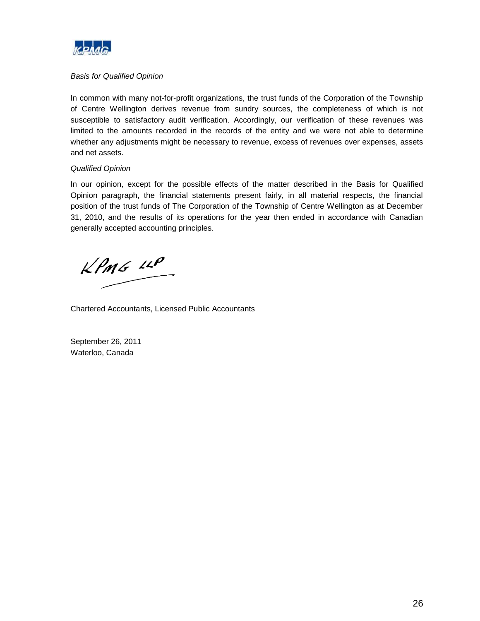

### *Basis for Qualified Opinion*

In common with many not-for-profit organizations, the trust funds of the Corporation of the Township of Centre Wellington derives revenue from sundry sources, the completeness of which is not susceptible to satisfactory audit verification. Accordingly, our verification of these revenues was limited to the amounts recorded in the records of the entity and we were not able to determine whether any adjustments might be necessary to revenue, excess of revenues over expenses, assets and net assets.

#### *Qualified Opinion*

In our opinion, except for the possible effects of the matter described in the Basis for Qualified Opinion paragraph, the financial statements present fairly, in all material respects, the financial position of the trust funds of The Corporation of the Township of Centre Wellington as at December 31, 2010, and the results of its operations for the year then ended in accordance with Canadian generally accepted accounting principles.

 $kPMC$  11 $P$ 

Chartered Accountants, Licensed Public Accountants

September 26, 2011 Waterloo, Canada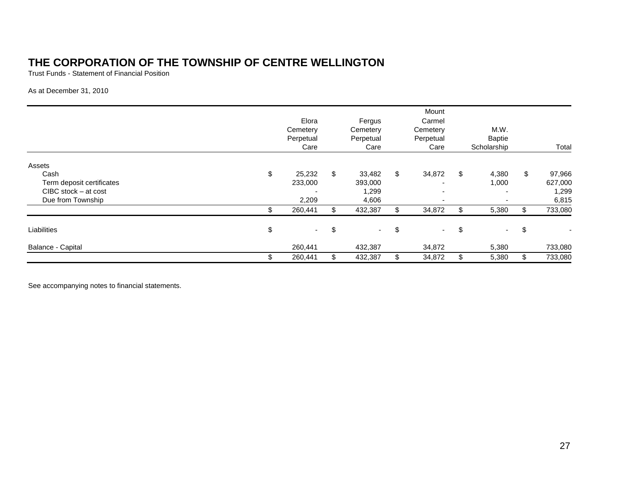Trust Funds - Statement of Financial Position

As at December 31, 2010

|                           | Elora<br>Cemetery<br>Perpetual<br>Care | Fergus<br>Cemetery<br>Perpetual<br>Care | Mount<br>Carmel<br>Cemetery<br>Perpetual<br>Care | M.W.<br><b>Baptie</b><br>Scholarship | Total         |
|---------------------------|----------------------------------------|-----------------------------------------|--------------------------------------------------|--------------------------------------|---------------|
| Assets                    |                                        |                                         |                                                  |                                      |               |
| Cash                      | \$<br>25,232                           | \$<br>33,482                            | \$<br>34,872                                     | \$<br>4,380                          | \$<br>97,966  |
| Term deposit certificates | 233,000                                | 393,000                                 |                                                  | 1,000                                | 627,000       |
| CIBC stock - at cost      |                                        | 1,299                                   | $\overline{\phantom{a}}$                         |                                      | 1,299         |
| Due from Township         | 2,209                                  | 4,606                                   |                                                  |                                      | 6,815         |
|                           | \$<br>260,441                          | \$<br>432,387                           | \$<br>34,872                                     | \$<br>5,380                          | \$<br>733,080 |
| Liabilities               | \$<br>$\sim$ 100 $\mu$                 | \$<br>$\sim$                            | \$<br>$\sim$                                     | \$<br>$\sim$ 10 $\pm$                | \$            |
| Balance - Capital         | 260,441                                | 432,387                                 | 34,872                                           | 5,380                                | 733,080       |
|                           | 260,441                                | 432,387                                 | \$<br>34,872                                     | \$<br>5,380                          | 733,080       |

See accompanying notes to financial statements.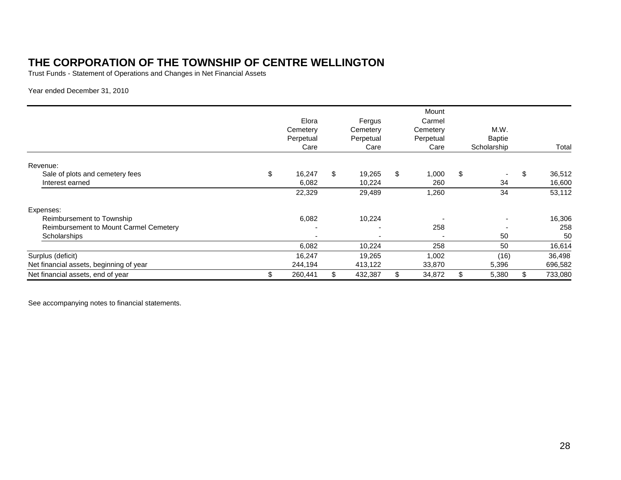Trust Funds - Statement of Operations and Changes in Net Financial Assets

Year ended December 31, 2010

|                                         | Elora<br>Cemetery<br>Perpetual<br>Care | Fergus<br>Cemetery<br>Perpetual<br>Care | Mount<br>Carmel<br>Cemetery<br>Perpetual<br>Care | M.W.<br><b>Baptie</b><br>Scholarship | Total         |
|-----------------------------------------|----------------------------------------|-----------------------------------------|--------------------------------------------------|--------------------------------------|---------------|
| Revenue:                                |                                        |                                         |                                                  |                                      |               |
| Sale of plots and cemetery fees         | \$<br>16,247                           | \$<br>19,265                            | \$<br>1,000                                      | \$                                   | \$<br>36,512  |
| Interest earned                         | 6,082                                  | 10,224                                  | 260                                              | 34                                   | 16,600        |
|                                         | 22,329                                 | 29,489                                  | 1,260                                            | 34                                   | 53,112        |
| Expenses:                               |                                        |                                         |                                                  |                                      |               |
| Reimbursement to Township               | 6,082                                  | 10,224                                  |                                                  |                                      | 16,306        |
| Reimbursement to Mount Carmel Cemetery  |                                        |                                         | 258                                              |                                      | 258           |
| Scholarships                            |                                        | $\overline{\phantom{0}}$                |                                                  | 50                                   | 50            |
|                                         | 6,082                                  | 10,224                                  | 258                                              | 50                                   | 16,614        |
| Surplus (deficit)                       | 16,247                                 | 19,265                                  | 1,002                                            | (16)                                 | 36,498        |
| Net financial assets, beginning of year | 244,194                                | 413,122                                 | 33,870                                           | 5,396                                | 696,582       |
| Net financial assets, end of year       | \$<br>260,441                          | \$<br>432,387                           | 34,872                                           | \$<br>5,380                          | \$<br>733,080 |

See accompanying notes to financial statements.